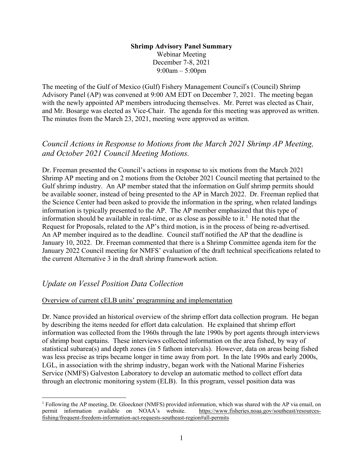#### **Shrimp Advisory Panel Summary** Webinar Meeting December 7-8, 2021 9:00am – 5:00pm

The meeting of the Gulf of Mexico (Gulf) Fishery Management Council's (Council) Shrimp Advisory Panel (AP) was convened at 9:00 AM EDT on December 7, 2021. The meeting began with the newly appointed AP members introducing themselves. Mr. Perret was elected as Chair, and Mr. Bosarge was elected as Vice-Chair. The agenda for this meeting was approved as written. The minutes from the March 23, 2021, meeting were approved as written.

# *Council Actions in Response to Motions from the March 2021 Shrimp AP Meeting, and October 2021 Council Meeting Motions.*

Dr. Freeman presented the Council's actions in response to six motions from the March 2021 Shrimp AP meeting and on 2 motions from the October 2021 Council meeting that pertained to the Gulf shrimp industry. An AP member stated that the information on Gulf shrimp permits should be available sooner, instead of being presented to the AP in March 2022. Dr. Freeman replied that the Science Center had been asked to provide the information in the spring, when related landings information is typically presented to the AP. The AP member emphasized that this type of information should be available in real-time, or as close as possible to it.<sup>[1](#page-0-0)</sup> He noted that the Request for Proposals, related to the AP's third motion, is in the process of being re-advertised. An AP member inquired as to the deadline. Council staff notified the AP that the deadline is January 10, 2022. Dr. Freeman commented that there is a Shrimp Committee agenda item for the January 2022 Council meeting for NMFS' evaluation of the draft technical specifications related to the current Alternative 3 in the draft shrimp framework action.

## *Update on Vessel Position Data Collection*

### Overview of current cELB units' programming and implementation

Dr. Nance provided an historical overview of the shrimp effort data collection program. He began by describing the items needed for effort data calculation. He explained that shrimp effort information was collected from the 1960s through the late 1990s by port agents through interviews of shrimp boat captains. These interviews collected information on the area fished, by way of statistical subarea(s) and depth zones (in 5 fathom intervals). However, data on areas being fished was less precise as trips became longer in time away from port. In the late 1990s and early 2000s, LGL, in association with the shrimp industry, began work with the National Marine Fisheries Service (NMFS) Galveston Laboratory to develop an automatic method to collect effort data through an electronic monitoring system (ELB). In this program, vessel position data was

<span id="page-0-0"></span><sup>&</sup>lt;sup>1</sup> Following the AP meeting, Dr. Gloeckner (NMFS) provided information, which was shared with the AP via email, on permit information available on NOAA's website. https://www.fisheries.noaa.gov/southeast/resourcespermit information available on NOAA's website. [fishing/frequent-freedom-information-act-requests-southeast-region#all-permits](https://www.fisheries.noaa.gov/southeast/resources-fishing/frequent-freedom-information-act-requests-southeast-region#all-permits)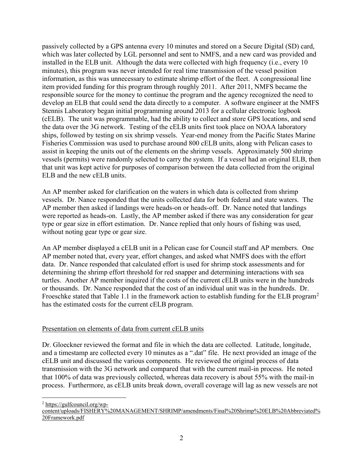passively collected by a GPS antenna every 10 minutes and stored on a Secure Digital (SD) card, which was later collected by LGL personnel and sent to NMFS, and a new card was provided and installed in the ELB unit. Although the data were collected with high frequency (i.e., every 10 minutes), this program was never intended for real time transmission of the vessel position information, as this was unnecessary to estimate shrimp effort of the fleet. A congressional line item provided funding for this program through roughly 2011. After 2011, NMFS became the responsible source for the money to continue the program and the agency recognized the need to develop an ELB that could send the data directly to a computer. A software engineer at the NMFS Stennis Laboratory began initial programming around 2013 for a cellular electronic logbook (cELB). The unit was programmable, had the ability to collect and store GPS locations, and send the data over the 3G network. Testing of the cELB units first took place on NOAA laboratory ships, followed by testing on six shrimp vessels. Year-end money from the Pacific States Marine Fisheries Commission was used to purchase around 800 cELB units, along with Pelican cases to assist in keeping the units out of the elements on the shrimp vessels. Approximately 500 shrimp vessels (permits) were randomly selected to carry the system. If a vessel had an original ELB, then that unit was kept active for purposes of comparison between the data collected from the original ELB and the new cELB units.

An AP member asked for clarification on the waters in which data is collected from shrimp vessels. Dr. Nance responded that the units collected data for both federal and state waters. The AP member then asked if landings were heads-on or heads-off. Dr. Nance noted that landings were reported as heads-on. Lastly, the AP member asked if there was any consideration for gear type or gear size in effort estimation. Dr. Nance replied that only hours of fishing was used, without noting gear type or gear size.

An AP member displayed a cELB unit in a Pelican case for Council staff and AP members. One AP member noted that, every year, effort changes, and asked what NMFS does with the effort data. Dr. Nance responded that calculated effort is used for shrimp stock assessments and for determining the shrimp effort threshold for red snapper and determining interactions with sea turtles. Another AP member inquired if the costs of the current cELB units were in the hundreds or thousands. Dr. Nance responded that the cost of an individual unit was in the hundreds. Dr. Froeschke stated that Table 1.1 in the framework action to establish funding for the ELB program<sup>[2](#page-1-0)</sup> has the estimated costs for the current cELB program.

### Presentation on elements of data from current cELB units

Dr. Gloeckner reviewed the format and file in which the data are collected. Latitude, longitude, and a timestamp are collected every 10 minutes as a ".dat" file. He next provided an image of the cELB unit and discussed the various components. He reviewed the original process of data transmission with the 3G network and compared that with the current mail-in process. He noted that 100% of data was previously collected, whereas data recovery is about 55% with the mail-in process. Furthermore, as cELB units break down, overall coverage will lag as new vessels are not

<span id="page-1-0"></span>2 [https://gulfcouncil.org/wp-](https://gulfcouncil.org/wp-content/uploads/FISHERY%20MANAGEMENT/SHRIMP/amendments/Final%20Shrimp%20ELB%20Abbreviated%20Framework.pdf)

[content/uploads/FISHERY%20MANAGEMENT/SHRIMP/amendments/Final%20Shrimp%20ELB%20Abbreviated%](https://gulfcouncil.org/wp-content/uploads/FISHERY%20MANAGEMENT/SHRIMP/amendments/Final%20Shrimp%20ELB%20Abbreviated%20Framework.pdf) [20Framework.pdf](https://gulfcouncil.org/wp-content/uploads/FISHERY%20MANAGEMENT/SHRIMP/amendments/Final%20Shrimp%20ELB%20Abbreviated%20Framework.pdf)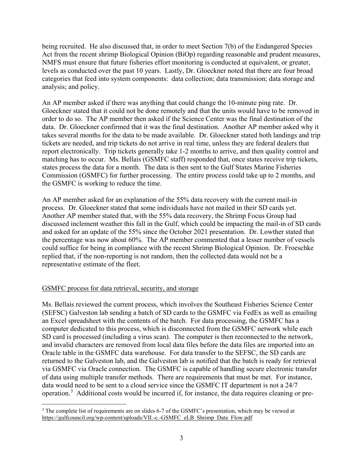being recruited. He also discussed that, in order to meet Section 7(b) of the Endangered Species Act from the recent shrimp Biological Opinion (BiOp) regarding reasonable and prudent measures, NMFS must ensure that future fisheries effort monitoring is conducted at equivalent, or greater, levels as conducted over the past 10 years. Lastly, Dr. Gloeckner noted that there are four broad categories that feed into system components: data collection; data transmission; data storage and analysis; and policy.

An AP member asked if there was anything that could change the 10-minute ping rate. Dr. Gloeckner stated that it could not be done remotely and that the units would have to be removed in order to do so. The AP member then asked if the Science Center was the final destination of the data. Dr. Gloeckner confirmed that it was the final destination. Another AP member asked why it takes several months for the data to be made available. Dr. Gloeckner stated both landings and trip tickets are needed, and trip tickets do not arrive in real time, unless they are federal dealers that report electronically. Trip tickets generally take 1-2 months to arrive, and then quality control and matching has to occur. Ms. Bellais (GSMFC staff) responded that, once states receive trip tickets, states process the data for a month. The data is then sent to the Gulf States Marine Fisheries Commission (GSMFC) for further processing. The entire process could take up to 2 months, and the GSMFC is working to reduce the time.

An AP member asked for an explanation of the 55% data recovery with the current mail-in process. Dr. Gloeckner stated that some individuals have not mailed in their SD cards yet. Another AP member stated that, with the 55% data recovery, the Shrimp Focus Group had discussed inclement weather this fall in the Gulf, which could be impacting the mail-in of SD cards and asked for an update of the 55% since the October 2021 presentation. Dr. Lowther stated that the percentage was now about 60%. The AP member commented that a lesser number of vessels could suffice for being in compliance with the recent Shrimp Biological Opinion. Dr. Froeschke replied that, if the non-reporting is not random, then the collected data would not be a representative estimate of the fleet.

#### GSMFC process for data retrieval, security, and storage

Ms. Bellais reviewed the current process, which involves the Southeast Fisheries Science Center (SEFSC) Galveston lab sending a batch of SD cards to the GSMFC via FedEx as well as emailing an Excel spreadsheet with the contents of the batch. For data processing, the GSMFC has a computer dedicated to this process, which is disconnected from the GSMFC network while each SD card is processed (including a virus scan). The computer is then reconnected to the network, and invalid characters are removed from local data files before the data files are imported into an Oracle table in the GSMFC data warehouse. For data transfer to the SEFSC, the SD cards are returned to the Galveston lab, and the Galveston lab is notified that the batch is ready for retrieval via GSMFC via Oracle connection. The GSMFC is capable of handling secure electronic transfer of data using multiple transfer methods. There are requirements that must be met. For instance, data would need to be sent to a cloud service since the GSMFC IT department is not a 24/7 operation.<sup>[3](#page-2-0)</sup> Additional costs would be incurred if, for instance, the data requires cleaning or pre-

<span id="page-2-0"></span><sup>&</sup>lt;sup>3</sup> The complete list of requirements are on slides 6-7 of the GSMFC's presentation, which may be viewed at [https://gulfcouncil.org/wp-content/uploads/VII.-c.-GSMFC\\_eLB\\_Shrimp\\_Data\\_Flow.pdf](https://gulfcouncil.org/wp-content/uploads/VII.-c.-GSMFC_eLB_Shrimp_Data_Flow.pdf)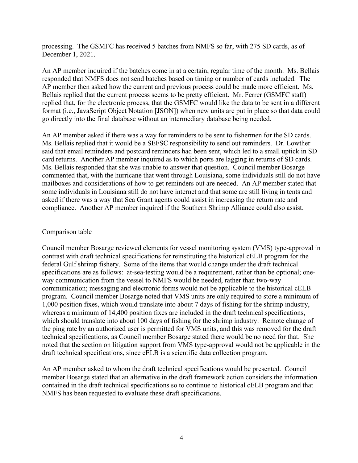processing. The GSMFC has received 5 batches from NMFS so far, with 275 SD cards, as of December 1, 2021.

An AP member inquired if the batches come in at a certain, regular time of the month. Ms. Bellais responded that NMFS does not send batches based on timing or number of cards included. The AP member then asked how the current and previous process could be made more efficient. Ms. Bellais replied that the current process seems to be pretty efficient. Mr. Ferrer (GSMFC staff) replied that, for the electronic process, that the GSMFC would like the data to be sent in a different format (i.e., JavaScript Object Notation [JSON]) when new units are put in place so that data could go directly into the final database without an intermediary database being needed.

An AP member asked if there was a way for reminders to be sent to fishermen for the SD cards. Ms. Bellais replied that it would be a SEFSC responsibility to send out reminders. Dr. Lowther said that email reminders and postcard reminders had been sent, which led to a small uptick in SD card returns. Another AP member inquired as to which ports are lagging in returns of SD cards. Ms. Bellais responded that she was unable to answer that question. Council member Bosarge commented that, with the hurricane that went through Louisiana, some individuals still do not have mailboxes and considerations of how to get reminders out are needed. An AP member stated that some individuals in Louisiana still do not have internet and that some are still living in tents and asked if there was a way that Sea Grant agents could assist in increasing the return rate and compliance. Another AP member inquired if the Southern Shrimp Alliance could also assist.

#### Comparison table

Council member Bosarge reviewed elements for vessel monitoring system (VMS) type-approval in contrast with draft technical specifications for reinstituting the historical cELB program for the federal Gulf shrimp fishery. Some of the items that would change under the draft technical specifications are as follows: at-sea-testing would be a requirement, rather than be optional; oneway communication from the vessel to NMFS would be needed, rather than two-way communication; messaging and electronic forms would not be applicable to the historical cELB program. Council member Bosarge noted that VMS units are only required to store a minimum of 1,000 position fixes, which would translate into about 7 days of fishing for the shrimp industry, whereas a minimum of 14,400 position fixes are included in the draft technical specifications, which should translate into about 100 days of fishing for the shrimp industry. Remote change of the ping rate by an authorized user is permitted for VMS units, and this was removed for the draft technical specifications, as Council member Bosarge stated there would be no need for that. She noted that the section on litigation support from VMS type-approval would not be applicable in the draft technical specifications, since cELB is a scientific data collection program.

An AP member asked to whom the draft technical specifications would be presented. Council member Bosarge stated that an alternative in the draft framework action considers the information contained in the draft technical specifications so to continue to historical cELB program and that NMFS has been requested to evaluate these draft specifications.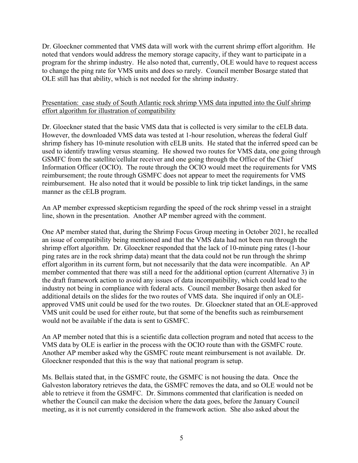Dr. Gloeckner commented that VMS data will work with the current shrimp effort algorithm. He noted that vendors would address the memory storage capacity, if they want to participate in a program for the shrimp industry. He also noted that, currently, OLE would have to request access to change the ping rate for VMS units and does so rarely. Council member Bosarge stated that OLE still has that ability, which is not needed for the shrimp industry.

#### Presentation: case study of South Atlantic rock shrimp VMS data inputted into the Gulf shrimp effort algorithm for illustration of compatibility

Dr. Gloeckner stated that the basic VMS data that is collected is very similar to the cELB data. However, the downloaded VMS data was tested at 1-hour resolution, whereas the federal Gulf shrimp fishery has 10-minute resolution with cELB units. He stated that the inferred speed can be used to identify trawling versus steaming. He showed two routes for VMS data, one going through GSMFC from the satellite/cellular receiver and one going through the Office of the Chief Information Officer (OCIO). The route through the OCIO would meet the requirements for VMS reimbursement; the route through GSMFC does not appear to meet the requirements for VMS reimbursement. He also noted that it would be possible to link trip ticket landings, in the same manner as the cELB program.

An AP member expressed skepticism regarding the speed of the rock shrimp vessel in a straight line, shown in the presentation. Another AP member agreed with the comment.

One AP member stated that, during the Shrimp Focus Group meeting in October 2021, he recalled an issue of compatibility being mentioned and that the VMS data had not been run through the shrimp effort algorithm. Dr. Gloeckner responded that the lack of 10-minute ping rates (1-hour ping rates are in the rock shrimp data) meant that the data could not be run through the shrimp effort algorithm in its current form, but not necessarily that the data were incompatible. An AP member commented that there was still a need for the additional option (current Alternative 3) in the draft framework action to avoid any issues of data incompatibility, which could lead to the industry not being in compliance with federal acts. Council member Bosarge then asked for additional details on the slides for the two routes of VMS data. She inquired if only an OLEapproved VMS unit could be used for the two routes. Dr. Gloeckner stated that an OLE-approved VMS unit could be used for either route, but that some of the benefits such as reimbursement would not be available if the data is sent to GSMFC.

An AP member noted that this is a scientific data collection program and noted that access to the VMS data by OLE is earlier in the process with the OCIO route than with the GSMFC route. Another AP member asked why the GSMFC route meant reimbursement is not available. Dr. Gloeckner responded that this is the way that national program is setup.

Ms. Bellais stated that, in the GSMFC route, the GSMFC is not housing the data. Once the Galveston laboratory retrieves the data, the GSMFC removes the data, and so OLE would not be able to retrieve it from the GSMFC. Dr. Simmons commented that clarification is needed on whether the Council can make the decision where the data goes, before the January Council meeting, as it is not currently considered in the framework action. She also asked about the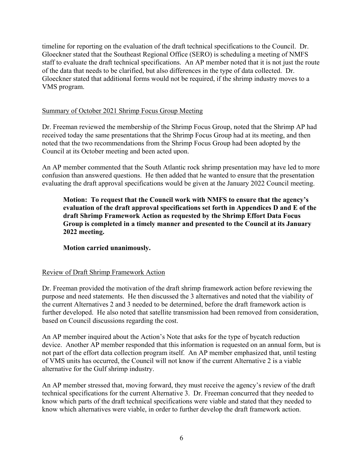timeline for reporting on the evaluation of the draft technical specifications to the Council. Dr. Gloeckner stated that the Southeast Regional Office (SERO) is scheduling a meeting of NMFS staff to evaluate the draft technical specifications. An AP member noted that it is not just the route of the data that needs to be clarified, but also differences in the type of data collected. Dr. Gloeckner stated that additional forms would not be required, if the shrimp industry moves to a VMS program.

#### Summary of October 2021 Shrimp Focus Group Meeting

Dr. Freeman reviewed the membership of the Shrimp Focus Group, noted that the Shrimp AP had received today the same presentations that the Shrimp Focus Group had at its meeting, and then noted that the two recommendations from the Shrimp Focus Group had been adopted by the Council at its October meeting and been acted upon.

An AP member commented that the South Atlantic rock shrimp presentation may have led to more confusion than answered questions. He then added that he wanted to ensure that the presentation evaluating the draft approval specifications would be given at the January 2022 Council meeting.

**Motion: To request that the Council work with NMFS to ensure that the agency's evaluation of the draft approval specifications set forth in Appendices D and E of the draft Shrimp Framework Action as requested by the Shrimp Effort Data Focus Group is completed in a timely manner and presented to the Council at its January 2022 meeting.**

**Motion carried unanimously.**

### Review of Draft Shrimp Framework Action

Dr. Freeman provided the motivation of the draft shrimp framework action before reviewing the purpose and need statements. He then discussed the 3 alternatives and noted that the viability of the current Alternatives 2 and 3 needed to be determined, before the draft framework action is further developed. He also noted that satellite transmission had been removed from consideration, based on Council discussions regarding the cost.

An AP member inquired about the Action's Note that asks for the type of bycatch reduction device. Another AP member responded that this information is requested on an annual form, but is not part of the effort data collection program itself. An AP member emphasized that, until testing of VMS units has occurred, the Council will not know if the current Alternative 2 is a viable alternative for the Gulf shrimp industry.

An AP member stressed that, moving forward, they must receive the agency's review of the draft technical specifications for the current Alternative 3. Dr. Freeman concurred that they needed to know which parts of the draft technical specifications were viable and stated that they needed to know which alternatives were viable, in order to further develop the draft framework action.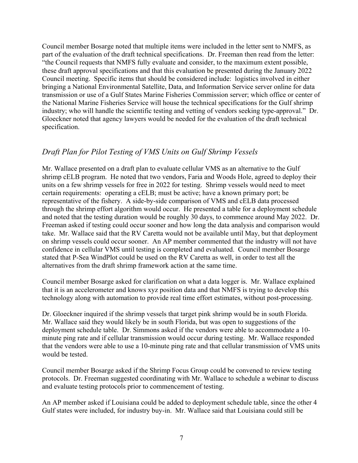Council member Bosarge noted that multiple items were included in the letter sent to NMFS, as part of the evaluation of the draft technical specifications. Dr. Freeman then read from the letter: "the Council requests that NMFS fully evaluate and consider, to the maximum extent possible, these draft approval specifications and that this evaluation be presented during the January 2022 Council meeting. Specific items that should be considered include: logistics involved in either bringing a National Environmental Satellite, Data, and Information Service server online for data transmission or use of a Gulf States Marine Fisheries Commission server; which office or center of the National Marine Fisheries Service will house the technical specifications for the Gulf shrimp industry; who will handle the scientific testing and vetting of vendors seeking type-approval." Dr. Gloeckner noted that agency lawyers would be needed for the evaluation of the draft technical specification.

## *Draft Plan for Pilot Testing of VMS Units on Gulf Shrimp Vessels*

Mr. Wallace presented on a draft plan to evaluate cellular VMS as an alternative to the Gulf shrimp cELB program. He noted that two vendors, Faria and Woods Hole, agreed to deploy their units on a few shrimp vessels for free in 2022 for testing. Shrimp vessels would need to meet certain requirements: operating a cELB; must be active; have a known primary port; be representative of the fishery. A side-by-side comparison of VMS and cELB data processed through the shrimp effort algorithm would occur. He presented a table for a deployment schedule and noted that the testing duration would be roughly 30 days, to commence around May 2022. Dr. Freeman asked if testing could occur sooner and how long the data analysis and comparison would take. Mr. Wallace said that the RV Caretta would not be available until May, but that deployment on shrimp vessels could occur sooner. An AP member commented that the industry will not have confidence in cellular VMS until testing is completed and evaluated. Council member Bosarge stated that P-Sea WindPlot could be used on the RV Caretta as well, in order to test all the alternatives from the draft shrimp framework action at the same time.

Council member Bosarge asked for clarification on what a data logger is. Mr. Wallace explained that it is an accelerometer and knows xyz position data and that NMFS is trying to develop this technology along with automation to provide real time effort estimates, without post-processing.

Dr. Gloeckner inquired if the shrimp vessels that target pink shrimp would be in south Florida. Mr. Wallace said they would likely be in south Florida, but was open to suggestions of the deployment schedule table. Dr. Simmons asked if the vendors were able to accommodate a 10 minute ping rate and if cellular transmission would occur during testing. Mr. Wallace responded that the vendors were able to use a 10-minute ping rate and that cellular transmission of VMS units would be tested.

Council member Bosarge asked if the Shrimp Focus Group could be convened to review testing protocols. Dr. Freeman suggested coordinating with Mr. Wallace to schedule a webinar to discuss and evaluate testing protocols prior to commencement of testing.

An AP member asked if Louisiana could be added to deployment schedule table, since the other 4 Gulf states were included, for industry buy-in. Mr. Wallace said that Louisiana could still be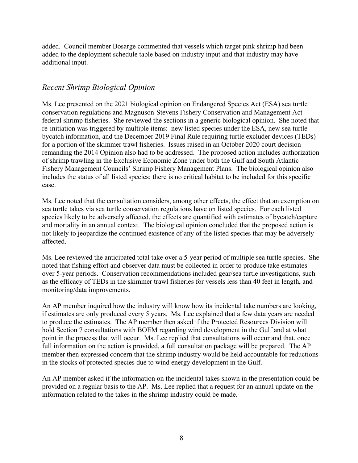added. Council member Bosarge commented that vessels which target pink shrimp had been added to the deployment schedule table based on industry input and that industry may have additional input.

## *Recent Shrimp Biological Opinion*

Ms. Lee presented on the 2021 biological opinion on Endangered Species Act (ESA) sea turtle conservation regulations and Magnuson-Stevens Fishery Conservation and Management Act federal shrimp fisheries. She reviewed the sections in a generic biological opinion. She noted that re-initiation was triggered by multiple items: new listed species under the ESA, new sea turtle bycatch information, and the December 2019 Final Rule requiring turtle excluder devices (TEDs) for a portion of the skimmer trawl fisheries. Issues raised in an October 2020 court decision remanding the 2014 Opinion also had to be addressed. The proposed action includes authorization of shrimp trawling in the Exclusive Economic Zone under both the Gulf and South Atlantic Fishery Management Councils' Shrimp Fishery Management Plans. The biological opinion also includes the status of all listed species; there is no critical habitat to be included for this specific case.

Ms. Lee noted that the consultation considers, among other effects, the effect that an exemption on sea turtle takes via sea turtle conservation regulations have on listed species. For each listed species likely to be adversely affected, the effects are quantified with estimates of bycatch/capture and mortality in an annual context. The biological opinion concluded that the proposed action is not likely to jeopardize the continued existence of any of the listed species that may be adversely affected.

Ms. Lee reviewed the anticipated total take over a 5-year period of multiple sea turtle species. She noted that fishing effort and observer data must be collected in order to produce take estimates over 5-year periods. Conservation recommendations included gear/sea turtle investigations, such as the efficacy of TEDs in the skimmer trawl fisheries for vessels less than 40 feet in length, and monitoring/data improvements.

An AP member inquired how the industry will know how its incidental take numbers are looking, if estimates are only produced every 5 years. Ms. Lee explained that a few data years are needed to produce the estimates. The AP member then asked if the Protected Resources Division will hold Section 7 consultations with BOEM regarding wind development in the Gulf and at what point in the process that will occur. Ms. Lee replied that consultations will occur and that, once full information on the action is provided, a full consultation package will be prepared. The AP member then expressed concern that the shrimp industry would be held accountable for reductions in the stocks of protected species due to wind energy development in the Gulf.

An AP member asked if the information on the incidental takes shown in the presentation could be provided on a regular basis to the AP. Ms. Lee replied that a request for an annual update on the information related to the takes in the shrimp industry could be made.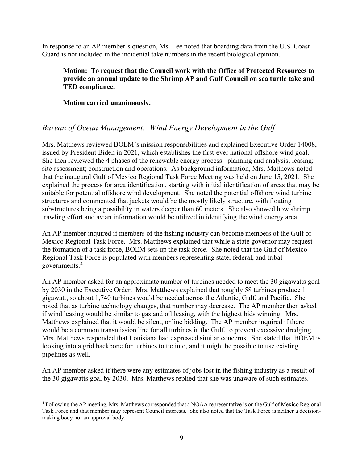In response to an AP member's question, Ms. Lee noted that boarding data from the U.S. Coast Guard is not included in the incidental take numbers in the recent biological opinion.

### **Motion: To request that the Council work with the Office of Protected Resources to provide an annual update to the Shrimp AP and Gulf Council on sea turtle take and TED compliance.**

**Motion carried unanimously.**

# *Bureau of Ocean Management: Wind Energy Development in the Gulf*

Mrs. Matthews reviewed BOEM's mission responsibilities and explained Executive Order 14008, issued by President Biden in 2021, which establishes the first-ever national offshore wind goal. She then reviewed the 4 phases of the renewable energy process: planning and analysis; leasing; site assessment; construction and operations. As background information, Mrs. Matthews noted that the inaugural Gulf of Mexico Regional Task Force Meeting was held on June 15, 2021. She explained the process for area identification, starting with initial identification of areas that may be suitable for potential offshore wind development. She noted the potential offshore wind turbine structures and commented that jackets would be the mostly likely structure, with floating substructures being a possibility in waters deeper than 60 meters. She also showed how shrimp trawling effort and avian information would be utilized in identifying the wind energy area.

An AP member inquired if members of the fishing industry can become members of the Gulf of Mexico Regional Task Force. Mrs. Matthews explained that while a state governor may request the formation of a task force, BOEM sets up the task force. She noted that the Gulf of Mexico Regional Task Force is populated with members representing state, federal, and tribal governments.[4](#page-8-0)

An AP member asked for an approximate number of turbines needed to meet the 30 gigawatts goal by 2030 in the Executive Order. Mrs. Matthews explained that roughly 58 turbines produce 1 gigawatt, so about 1,740 turbines would be needed across the Atlantic, Gulf, and Pacific. She noted that as turbine technology changes, that number may decrease. The AP member then asked if wind leasing would be similar to gas and oil leasing, with the highest bids winning. Mrs. Matthews explained that it would be silent, online bidding. The AP member inquired if there would be a common transmission line for all turbines in the Gulf, to prevent excessive dredging. Mrs. Matthews responded that Louisiana had expressed similar concerns. She stated that BOEM is looking into a grid backbone for turbines to tie into, and it might be possible to use existing pipelines as well.

An AP member asked if there were any estimates of jobs lost in the fishing industry as a result of the 30 gigawatts goal by 2030. Mrs. Matthews replied that she was unaware of such estimates.

<span id="page-8-0"></span> <sup>4</sup> Following the AP meeting, Mrs. Matthews corresponded that <sup>a</sup> NOAA representative is on the Gulf of Mexico Regional Task Force and that member may represent Council interests. She also noted that the Task Force is neither a decisionmaking body nor an approval body.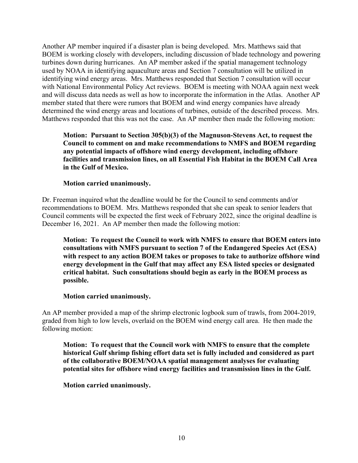Another AP member inquired if a disaster plan is being developed. Mrs. Matthews said that BOEM is working closely with developers, including discussion of blade technology and powering turbines down during hurricanes. An AP member asked if the spatial management technology used by NOAA in identifying aquaculture areas and Section 7 consultation will be utilized in identifying wind energy areas. Mrs. Matthews responded that Section 7 consultation will occur with National Environmental Policy Act reviews. BOEM is meeting with NOAA again next week and will discuss data needs as well as how to incorporate the information in the Atlas. Another AP member stated that there were rumors that BOEM and wind energy companies have already determined the wind energy areas and locations of turbines, outside of the described process. Mrs. Matthews responded that this was not the case. An AP member then made the following motion:

**Motion: Pursuant to Section 305(b)(3) of the Magnuson-Stevens Act, to request the Council to comment on and make recommendations to NMFS and BOEM regarding any potential impacts of offshore wind energy development, including offshore facilities and transmission lines, on all Essential Fish Habitat in the BOEM Call Area in the Gulf of Mexico.**

#### **Motion carried unanimously.**

Dr. Freeman inquired what the deadline would be for the Council to send comments and/or recommendations to BOEM. Mrs. Matthews responded that she can speak to senior leaders that Council comments will be expected the first week of February 2022, since the original deadline is December 16, 2021. An AP member then made the following motion:

**Motion: To request the Council to work with NMFS to ensure that BOEM enters into consultations with NMFS pursuant to section 7 of the Endangered Species Act (ESA) with respect to any action BOEM takes or proposes to take to authorize offshore wind energy development in the Gulf that may affect any ESA listed species or designated critical habitat. Such consultations should begin as early in the BOEM process as possible.**

#### **Motion carried unanimously.**

An AP member provided a map of the shrimp electronic logbook sum of trawls, from 2004-2019, graded from high to low levels, overlaid on the BOEM wind energy call area. He then made the following motion:

**Motion: To request that the Council work with NMFS to ensure that the complete historical Gulf shrimp fishing effort data set is fully included and considered as part of the collaborative BOEM/NOAA spatial management analyses for evaluating potential sites for offshore wind energy facilities and transmission lines in the Gulf.**

**Motion carried unanimously.**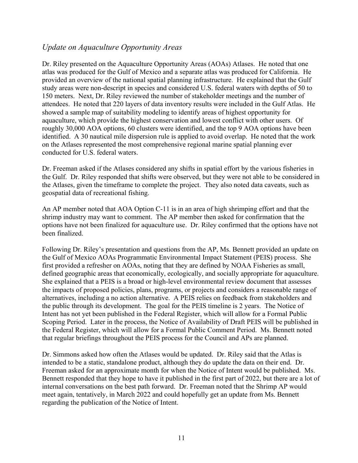## *Update on Aquaculture Opportunity Areas*

Dr. Riley presented on the Aquaculture Opportunity Areas (AOAs) Atlases. He noted that one atlas was produced for the Gulf of Mexico and a separate atlas was produced for California. He provided an overview of the national spatial planning infrastructure. He explained that the Gulf study areas were non-descript in species and considered U.S. federal waters with depths of 50 to 150 meters. Next, Dr. Riley reviewed the number of stakeholder meetings and the number of attendees. He noted that 220 layers of data inventory results were included in the Gulf Atlas. He showed a sample map of suitability modeling to identify areas of highest opportunity for aquaculture, which provide the highest conservation and lowest conflict with other users. Of roughly 30,000 AOA options, 60 clusters were identified, and the top 9 AOA options have been identified. A 30 nautical mile dispersion rule is applied to avoid overlap. He noted that the work on the Atlases represented the most comprehensive regional marine spatial planning ever conducted for U.S. federal waters.

Dr. Freeman asked if the Atlases considered any shifts in spatial effort by the various fisheries in the Gulf. Dr. Riley responded that shifts were observed, but they were not able to be considered in the Atlases, given the timeframe to complete the project. They also noted data caveats, such as geospatial data of recreational fishing.

An AP member noted that AOA Option C-11 is in an area of high shrimping effort and that the shrimp industry may want to comment. The AP member then asked for confirmation that the options have not been finalized for aquaculture use. Dr. Riley confirmed that the options have not been finalized.

Following Dr. Riley's presentation and questions from the AP, Ms. Bennett provided an update on the Gulf of Mexico AOAs Programmatic Environmental Impact Statement (PEIS) process. She first provided a refresher on AOAs, noting that they are defined by NOAA Fisheries as small, defined geographic areas that economically, ecologically, and socially appropriate for aquaculture. She explained that a PEIS is a broad or high-level environmental review document that assesses the impacts of proposed policies, plans, programs, or projects and considers a reasonable range of alternatives, including a no action alternative. A PEIS relies on feedback from stakeholders and the public through its development. The goal for the PEIS timeline is 2 years. The Notice of Intent has not yet been published in the Federal Register, which will allow for a Formal Public Scoping Period. Later in the process, the Notice of Availability of Draft PEIS will be published in the Federal Register, which will allow for a Formal Public Comment Period. Ms. Bennett noted that regular briefings throughout the PEIS process for the Council and APs are planned.

Dr. Simmons asked how often the Atlases would be updated. Dr. Riley said that the Atlas is intended to be a static, standalone product, although they do update the data on their end. Dr. Freeman asked for an approximate month for when the Notice of Intent would be published. Ms. Bennett responded that they hope to have it published in the first part of 2022, but there are a lot of internal conversations on the best path forward. Dr. Freeman noted that the Shrimp AP would meet again, tentatively, in March 2022 and could hopefully get an update from Ms. Bennett regarding the publication of the Notice of Intent.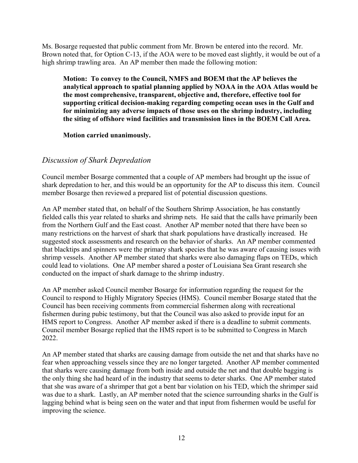Ms. Bosarge requested that public comment from Mr. Brown be entered into the record. Mr. Brown noted that, for Option C-13, if the AOA were to be moved east slightly, it would be out of a high shrimp trawling area. An AP member then made the following motion:

**Motion: To convey to the Council, NMFS and BOEM that the AP believes the analytical approach to spatial planning applied by NOAA in the AOA Atlas would be the most comprehensive, transparent, objective and, therefore, effective tool for supporting critical decision-making regarding competing ocean uses in the Gulf and for minimizing any adverse impacts of those uses on the shrimp industry, including the siting of offshore wind facilities and transmission lines in the BOEM Call Area.**

**Motion carried unanimously.**

## *Discussion of Shark Depredation*

Council member Bosarge commented that a couple of AP members had brought up the issue of shark depredation to her, and this would be an opportunity for the AP to discuss this item. Council member Bosarge then reviewed a prepared list of potential discussion questions.

An AP member stated that, on behalf of the Southern Shrimp Association, he has constantly fielded calls this year related to sharks and shrimp nets. He said that the calls have primarily been from the Northern Gulf and the East coast. Another AP member noted that there have been so many restrictions on the harvest of shark that shark populations have drastically increased. He suggested stock assessments and research on the behavior of sharks. An AP member commented that blacktips and spinners were the primary shark species that he was aware of causing issues with shrimp vessels. Another AP member stated that sharks were also damaging flaps on TEDs, which could lead to violations. One AP member shared a poster of Louisiana Sea Grant research she conducted on the impact of shark damage to the shrimp industry.

An AP member asked Council member Bosarge for information regarding the request for the Council to respond to Highly Migratory Species (HMS). Council member Bosarge stated that the Council has been receiving comments from commercial fishermen along with recreational fishermen during pubic testimony, but that the Council was also asked to provide input for an HMS report to Congress. Another AP member asked if there is a deadline to submit comments. Council member Bosarge replied that the HMS report is to be submitted to Congress in March 2022.

An AP member stated that sharks are causing damage from outside the net and that sharks have no fear when approaching vessels since they are no longer targeted. Another AP member commented that sharks were causing damage from both inside and outside the net and that double bagging is the only thing she had heard of in the industry that seems to deter sharks. One AP member stated that she was aware of a shrimper that got a bent bar violation on his TED, which the shrimper said was due to a shark. Lastly, an AP member noted that the science surrounding sharks in the Gulf is lagging behind what is being seen on the water and that input from fishermen would be useful for improving the science.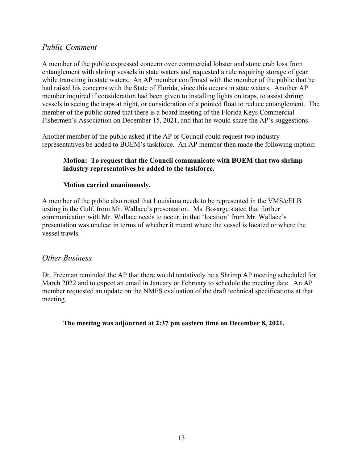### *Public Comment*

A member of the public expressed concern over commercial lobster and stone crab loss from entanglement with shrimp vessels in state waters and requested a rule requiring storage of gear while transiting in state waters. An AP member confirmed with the member of the public that he had raised his concerns with the State of Florida, since this occurs in state waters. Another AP member inquired if consideration had been given to installing lights on traps, to assist shrimp vessels in seeing the traps at night, or consideration of a pointed float to reduce entanglement. The member of the public stated that there is a board meeting of the Florida Keys Commercial Fishermen's Association on December 15, 2021, and that he would share the AP's suggestions.

Another member of the public asked if the AP or Council could request two industry representatives be added to BOEM's taskforce. An AP member then made the following motion:

#### **Motion: To request that the Council communicate with BOEM that two shrimp industry representatives be added to the taskforce.**

### **Motion carried unanimously.**

A member of the public also noted that Louisiana needs to be represented in the VMS/cELB testing in the Gulf, from Mr. Wallace's presentation. Ms. Bosarge stated that further communication with Mr. Wallace needs to occur, in that 'location' from Mr. Wallace's presentation was unclear in terms of whether it meant where the vessel is located or where the vessel trawls.

### *Other Business*

Dr. Freeman reminded the AP that there would tentatively be a Shrimp AP meeting scheduled for March 2022 and to expect an email in January or February to schedule the meeting date. An AP member requested an update on the NMFS evaluation of the draft technical specifications at that meeting.

**The meeting was adjourned at 2:37 pm eastern time on December 8, 2021.**